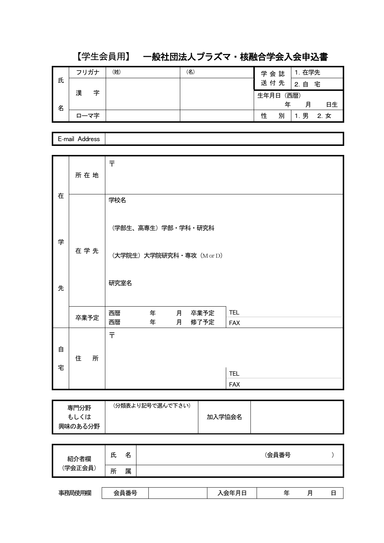# 【学生会員用】 一般社団法人プラズマ・核融合学会入会申込書

|   | フリガナ   | (姓) | (名) | 学会誌    | 在学先            |
|---|--------|-----|-----|--------|----------------|
| 氏 |        |     |     | 送付先    | 宅<br>自<br>2.   |
|   | 漢<br>字 |     |     | 生年月日   | (西暦)           |
| 名 |        |     |     |        | 日生<br>年<br>月   |
|   | ローマ字   |     |     | 別<br>性 | 男<br>2. 女<br>1 |

E-mail Address

|   | 所在地    | 〒                                  |
|---|--------|------------------------------------|
| 在 |        | 学校名                                |
|   |        |                                    |
|   |        | (学部生、高専生) 学部・学科・研究科                |
| 学 | 在学先    | (大学院生) 大学院研究科·専攻 (M or D)          |
| 先 |        | 研究室名                               |
|   | 卒業予定   | <b>TEL</b><br>西暦<br>年<br>月 卒業予定    |
|   |        | 西暦<br>年<br>修了予定<br>月<br><b>FAX</b> |
|   |        | 〒                                  |
| 自 | 住<br>所 |                                    |
| 宅 |        | <b>TEL</b>                         |
|   |        | <b>FAX</b>                         |

| 専門分野    | (分類表より記号で選んで下さい) |        |  |
|---------|------------------|--------|--|
| もしくは    |                  | 加入学協会名 |  |
| 興味のある分野 |                  |        |  |

| 者欄<br>紹 | 氏 | 名 | (会員番号 |  |
|---------|---|---|-------|--|
| (学会正会員) | 所 | 属 |       |  |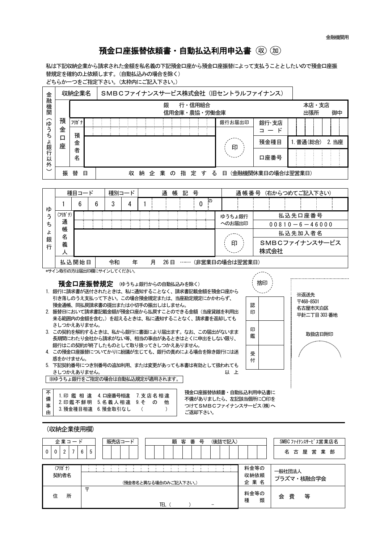## 預金口座振替依頼書·自動払込利用申込書 (取) (m)

私は下記収納企業から請求された金額を私名義の下記預金口座から預金口座振替によって支払うこととしたいので預金口座振 替規定を確約の上依頼します。(自動払込みの場合を除く)

どちらか一つをご指定下さい。(太枠内にご記入下さい。)

| 金                                                                                                                                                                                                                                                                                                                                                                                                                                                                                                                                                                                                                                                                                                                                                                                                                                                                             | SMBCファイナンスサービス株式会社 (旧セントラルファイナンス)<br>収納企業名     |                             |             |                       |   |           |  |             |        |                           |   |                        |                     |            |   |  |       |  |
|-------------------------------------------------------------------------------------------------------------------------------------------------------------------------------------------------------------------------------------------------------------------------------------------------------------------------------------------------------------------------------------------------------------------------------------------------------------------------------------------------------------------------------------------------------------------------------------------------------------------------------------------------------------------------------------------------------------------------------------------------------------------------------------------------------------------------------------------------------------------------------|------------------------------------------------|-----------------------------|-------------|-----------------------|---|-----------|--|-------------|--------|---------------------------|---|------------------------|---------------------|------------|---|--|-------|--|
| 一融機関                                                                                                                                                                                                                                                                                                                                                                                                                                                                                                                                                                                                                                                                                                                                                                                                                                                                          |                                                | 行・信用組合<br>銀<br>信用金庫・農協・労働金庫 |             |                       |   |           |  |             |        |                           |   | 本店・支店<br>出張所<br>御中     |                     |            |   |  |       |  |
| (ゆうちょ銀行                                                                                                                                                                                                                                                                                                                                                                                                                                                                                                                                                                                                                                                                                                                                                                                                                                                                       | 預<br>フリガナ<br>金                                 |                             |             |                       |   |           |  |             | 銀行お届出印 |                           |   | 銀行·支店<br>$=$ $ \kappa$ |                     |            |   |  |       |  |
|                                                                                                                                                                                                                                                                                                                                                                                                                                                                                                                                                                                                                                                                                                                                                                                                                                                                               | 預<br>$\Box$<br>金<br>座                          |                             |             |                       |   |           |  |             |        |                           |   |                        | 預金種目                | 1. 普通(総合)  |   |  | 2. 当座 |  |
| 以<br>外                                                                                                                                                                                                                                                                                                                                                                                                                                                                                                                                                                                                                                                                                                                                                                                                                                                                        | 者<br>名                                         |                             |             |                       |   |           |  |             | 印      |                           |   | 口座番号                   |                     |            |   |  |       |  |
| $\check{ }$                                                                                                                                                                                                                                                                                                                                                                                                                                                                                                                                                                                                                                                                                                                                                                                                                                                                   | 振 替 日<br>収 納 企 業 の 指 定 す る 日 (金融機関休業日の場合は翌営業日) |                             |             |                       |   |           |  |             |        |                           |   |                        |                     |            |   |  |       |  |
| 種目コード<br>種別コード<br>号<br>通帳番号(右からつめてご記入下さい)<br>通<br>帳 記                                                                                                                                                                                                                                                                                                                                                                                                                                                                                                                                                                                                                                                                                                                                                                                                                         |                                                |                             |             |                       |   |           |  |             |        |                           |   |                        |                     |            |   |  |       |  |
|                                                                                                                                                                                                                                                                                                                                                                                                                                                                                                                                                                                                                                                                                                                                                                                                                                                                               | 6<br>1                                         | 6                           | 3           | 4                     | 1 |           |  | $\mathbf 0$ | ΞØ)    |                           |   |                        |                     |            |   |  |       |  |
| ゆ<br>ぅ                                                                                                                                                                                                                                                                                                                                                                                                                                                                                                                                                                                                                                                                                                                                                                                                                                                                        | (フリガナ)                                         |                             |             |                       |   |           |  |             |        | ゆうちょ銀行                    |   |                        |                     | 払込先口座番号    |   |  |       |  |
| ち<br>ょ                                                                                                                                                                                                                                                                                                                                                                                                                                                                                                                                                                                                                                                                                                                                                                                                                                                                        | 通<br>帳                                         |                             |             |                       |   |           |  |             |        | へのお届出印                    |   |                        | $00810 - 6 - 46000$ |            |   |  |       |  |
| 銀<br>行                                                                                                                                                                                                                                                                                                                                                                                                                                                                                                                                                                                                                                                                                                                                                                                                                                                                        | 名<br>義<br>人                                    | 印                           |             |                       |   |           |  |             |        | 払込先加入者名<br>SMBCファイナンスサービス |   |                        |                     |            |   |  |       |  |
| 株式会社<br>払込開始日<br>26日 …… (非営業日の場合は翌営業日)<br>年<br>月<br>令和                                                                                                                                                                                                                                                                                                                                                                                                                                                                                                                                                                                                                                                                                                                                                                                                                        |                                                |                             |             |                       |   |           |  |             |        |                           |   |                        |                     |            |   |  |       |  |
| *サイン取引の方は届出印欄にサインしてください。                                                                                                                                                                                                                                                                                                                                                                                                                                                                                                                                                                                                                                                                                                                                                                                                                                                      |                                                |                             |             |                       |   |           |  |             |        |                           |   |                        |                     |            |   |  |       |  |
| 捨印<br>預金口座振替規定 (ゆうちょ銀行からの自動払込みを除く)<br>1. 銀行に請求書が送付されたときは、私に通知することなく、請求書記載金額を預金口座から<br>※返送先<br>引き落しのうえ支払って下さい。この場合預金規定または、当座勘定規定にかかわらず、<br>〒468-8501<br>預金通帳、同払戻請求書の提出または小切手の振出しはしません。<br>認<br>名古屋市天白区<br>2. 振替日において請求書記載金額が預金口座から払戻すことのできる金額(当座貸越を利用出<br>印<br>平針二丁目 303番地<br>来る範囲内の金額を含む。)を超えるときは、私に通知することなく、請求書を返却しても<br>さしつかえありません。<br>印<br>3. この契約を解約するときは、私から銀行に書面により届出ます。なお、この届出がないまま<br>取扱店日附印<br>鑑<br>長期間にわたり会社から請求がない等、相当の事由があるときはとくに申出をしない限り、<br>銀行はこの契約が終了したものとして取り扱ってさしつかえありません。<br>4. この預金口座振替についてかりに紛議が生じても、銀行の青めによる場合を除き銀行には迷<br>受<br>惑をかけません。<br>付<br>5.下記契約番号につき別番号の追加利用、または変更があっても本書は有効として扱われても<br>さしつかえありません。<br>以上<br>※ゆうちょ銀行をご指定の場合は自動払込規定が適用されます。<br>不<br>預金口座振替依頼書・自動払込利用申込書に<br>1.印 鑑 相 違 4.口座番号相違 7.支店名相違<br>備<br>不備がありましたら、左記該当個所に〇印を<br>2.印鑑不鮮明 5.名義人相違 9.そ の 他<br>事<br>つけてSMBCファイナンスサービス(株)へ<br>3. 預金種目相違 6. 預金取引なし<br>$\sqrt{2}$<br>$\mathcal{L}$ |                                                |                             |             |                       |   |           |  |             |        |                           |   |                        |                     |            |   |  |       |  |
| 由<br>ご返却下さい。                                                                                                                                                                                                                                                                                                                                                                                                                                                                                                                                                                                                                                                                                                                                                                                                                                                                  |                                                |                             |             |                       |   |           |  |             |        |                           |   |                        |                     |            |   |  |       |  |
| (収納企業使用欄)<br>顧客番号<br>企業コード<br>販売店コード<br>(後詰で記入)<br>SMBC ファイナンスサービス営業店名                                                                                                                                                                                                                                                                                                                                                                                                                                                                                                                                                                                                                                                                                                                                                                                                        |                                                |                             |             |                       |   |           |  |             |        |                           |   |                        |                     |            |   |  |       |  |
| $\Omega$                                                                                                                                                                                                                                                                                                                                                                                                                                                                                                                                                                                                                                                                                                                                                                                                                                                                      | 2 <sup>1</sup><br>$7^{\circ}$<br>$\Omega$      | 6<br>5                      |             |                       |   |           |  |             |        |                           |   |                        |                     | 名古屋営業部     |   |  |       |  |
|                                                                                                                                                                                                                                                                                                                                                                                                                                                                                                                                                                                                                                                                                                                                                                                                                                                                               | (フリガナ)<br>契約者名                                 |                             | ÷<br>÷<br>÷ | (預金者名と異なる場合のみご記入下さい。) |   |           |  |             |        | ÷                         |   | 料金等の<br>収納依頼<br>企業名    | 一般社団法人              | プラズマ・核融合学会 |   |  |       |  |
|                                                                                                                                                                                                                                                                                                                                                                                                                                                                                                                                                                                                                                                                                                                                                                                                                                                                               | 住<br>所                                         | 도                           |             |                       |   | $TEL$ ( ) |  |             |        |                           | 種 | 料金等の<br>類              | 会 費                 |            | 等 |  |       |  |